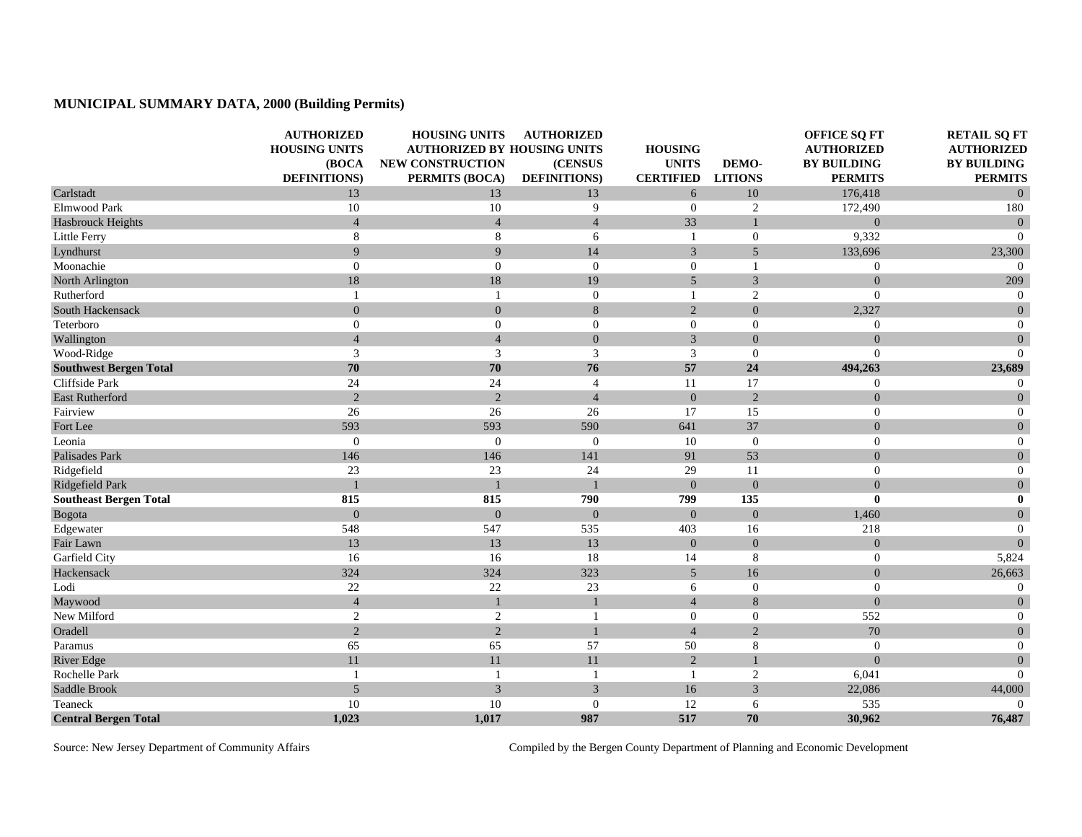## **MUNICIPAL SUMMARY DATA, 2000 (Building Permits)**

|                               | <b>AUTHORIZED</b><br><b>HOUSING UNITS</b><br>(BOCA | <b>HOUSING UNITS</b><br><b>AUTHORIZED BY HOUSING UNITS</b><br><b>NEW CONSTRUCTION</b> | <b>AUTHORIZED</b><br>(CENSUS | <b>HOUSING</b><br><b>UNITS</b> | DEMO-            | <b>OFFICE SQ FT</b><br><b>AUTHORIZED</b><br><b>BY BUILDING</b> | <b>RETAIL SQ FT</b><br><b>AUTHORIZED</b><br><b>BY BUILDING</b> |
|-------------------------------|----------------------------------------------------|---------------------------------------------------------------------------------------|------------------------------|--------------------------------|------------------|----------------------------------------------------------------|----------------------------------------------------------------|
|                               | <b>DEFINITIONS</b> )                               | PERMITS (BOCA)                                                                        | <b>DEFINITIONS</b> )         | <b>CERTIFIED</b>               | <b>LITIONS</b>   | <b>PERMITS</b>                                                 | <b>PERMITS</b>                                                 |
| Carlstadt                     | 13                                                 | 13                                                                                    | 13                           | 6                              | 10               | 176,418                                                        | $\overline{0}$                                                 |
| Elmwood Park                  | 10                                                 | 10                                                                                    | 9                            | $\mathbf{0}$                   | 2                | 172,490                                                        | 180                                                            |
| <b>Hasbrouck Heights</b>      | $\overline{4}$                                     | $\overline{4}$                                                                        | $\overline{4}$               | 33                             |                  | $\overline{0}$                                                 | $\overline{0}$                                                 |
| Little Ferry                  | 8                                                  | $\,8\,$                                                                               | 6                            | 1                              | $\mathbf{0}$     | 9,332                                                          | $\Omega$                                                       |
| Lyndhurst                     | 9                                                  | 9                                                                                     | 14                           | $\overline{3}$                 | 5                | 133,696                                                        | 23,300                                                         |
| Moonachie                     | $\overline{0}$                                     | $\boldsymbol{0}$                                                                      | $\overline{0}$               | $\overline{0}$                 |                  | $\boldsymbol{0}$                                               | $\overline{0}$                                                 |
| North Arlington               | 18                                                 | $18\,$                                                                                | 19                           | 5                              | 3                | $\Omega$                                                       | 209                                                            |
| Rutherford                    | $\overline{1}$                                     | $\mathbf{1}$                                                                          | $\theta$                     | 1                              | $\overline{2}$   | $\mathbf{0}$                                                   | $\overline{0}$                                                 |
| South Hackensack              | $\overline{0}$                                     | $\mathbf{0}$                                                                          | 8                            | $\overline{2}$                 | $\overline{0}$   | 2,327                                                          | $\mathbf{0}$                                                   |
| Teterboro                     | $\theta$                                           | $\mathbf{0}$                                                                          | $\overline{0}$               | $\theta$                       | $\mathbf{0}$     | $\mathbf{0}$                                                   | $\overline{0}$                                                 |
| Wallington                    | $\overline{4}$                                     | $\overline{4}$                                                                        | $\boldsymbol{0}$             | $\mathfrak{Z}$                 | $\boldsymbol{0}$ | $\overline{0}$                                                 | $\boldsymbol{0}$                                               |
| Wood-Ridge                    | 3                                                  | 3                                                                                     | 3                            | 3                              | $\Omega$         | $\overline{0}$                                                 | $\overline{0}$                                                 |
| <b>Southwest Bergen Total</b> | 70                                                 | 70                                                                                    | 76                           | 57                             | 24               | 494,263                                                        | 23,689                                                         |
| Cliffside Park                | 24                                                 | 24                                                                                    | $\overline{4}$               | 11                             | 17               | $\mathbf{0}$                                                   | $\overline{0}$                                                 |
| <b>East Rutherford</b>        | $\overline{2}$                                     | $\overline{c}$                                                                        | $\overline{4}$               | $\mathbf{0}$                   | $\overline{2}$   | $\overline{0}$                                                 | $\overline{0}$                                                 |
| Fairview                      | 26                                                 | 26                                                                                    | 26                           | 17                             | 15               | $\mathbf{0}$                                                   | $\boldsymbol{0}$                                               |
| Fort Lee                      | 593                                                | 593                                                                                   | 590                          | 641                            | 37               | $\overline{0}$                                                 | $\mathbf{0}$                                                   |
| Leonia                        | $\theta$                                           | $\theta$                                                                              | $\theta$                     | 10                             | $\overline{0}$   | $\mathbf{0}$                                                   | $\mathbf{0}$                                                   |
| Palisades Park                | 146                                                | 146                                                                                   | 141                          | 91                             | 53               | $\overline{0}$                                                 | $\boldsymbol{0}$                                               |
| Ridgefield                    | 23                                                 | 23                                                                                    | 24                           | 29                             | 11               | $\boldsymbol{0}$                                               | $\boldsymbol{0}$                                               |
| Ridgefield Park               | $\mathbf{1}$                                       |                                                                                       |                              | $\overline{0}$                 | $\Omega$         | $\overline{0}$                                                 | $\mathbf{0}$                                                   |
| <b>Southeast Bergen Total</b> | 815                                                | 815                                                                                   | 790                          | 799                            | 135              | $\bf{0}$                                                       | $\bf{0}$                                                       |
| Bogota                        | $\overline{0}$                                     | $\mathbf{0}$                                                                          | $\overline{0}$               | $\overline{0}$                 | $\overline{0}$   | 1,460                                                          | $\boldsymbol{0}$                                               |
| Edgewater                     | 548                                                | 547                                                                                   | 535                          | 403                            | 16               | 218                                                            | $\overline{0}$                                                 |
| Fair Lawn                     | 13                                                 | 13                                                                                    | 13                           | $\mathbf{0}$                   | $\boldsymbol{0}$ | $\boldsymbol{0}$                                               | $\mathbf{0}$                                                   |
| Garfield City                 | 16                                                 | 16                                                                                    | 18                           | 14                             | 8                | $\mathbf{0}$                                                   | 5,824                                                          |
| Hackensack                    | 324                                                | 324                                                                                   | 323                          | 5                              | 16               | $\overline{0}$                                                 | 26,663                                                         |
| Lodi                          | 22                                                 | 22                                                                                    | 23                           | 6                              | $\overline{0}$   | $\mathbf{0}$                                                   | $\boldsymbol{0}$                                               |
| Maywood                       | $\overline{4}$                                     | $\mathbf{1}$                                                                          |                              | $\overline{4}$                 | 8                | $\Omega$                                                       | $\mathbf{0}$                                                   |
| New Milford                   | $\overline{2}$                                     | $\overline{c}$                                                                        | $\mathbf{1}$                 | $\boldsymbol{0}$               | $\mathbf{0}$     | 552                                                            | $\boldsymbol{0}$                                               |
| Oradell                       | $\overline{2}$                                     | 2                                                                                     | $\overline{1}$               | $\overline{4}$                 | $\overline{2}$   | 70                                                             | $\overline{0}$                                                 |
| Paramus                       | 65                                                 | 65                                                                                    | 57                           | 50                             | 8                | $\boldsymbol{0}$                                               | $\boldsymbol{0}$                                               |
| <b>River Edge</b>             | 11                                                 | 11                                                                                    | 11                           | $\overline{2}$                 |                  | $\overline{0}$                                                 | $\boldsymbol{0}$                                               |
| Rochelle Park                 | $\overline{1}$                                     | $\mathbf{1}$                                                                          | $\overline{1}$               | $\mathbf{1}$                   | 2                | 6,041                                                          | $\Omega$                                                       |
| Saddle Brook                  | $\sqrt{5}$                                         | $\mathfrak{Z}$                                                                        | 3                            | 16                             | 3                | 22,086                                                         | 44,000                                                         |
| Teaneck                       | 10                                                 | $10\,$                                                                                | $\theta$                     | 12                             | 6                | 535                                                            | $\Omega$                                                       |
| <b>Central Bergen Total</b>   | 1,023                                              | 1,017                                                                                 | 987                          | 517                            | 70               | 30,962                                                         | 76,487                                                         |

Source: New Jersey Department of Community Affairs Compiled by the Bergen County Department of Planning and Economic Development